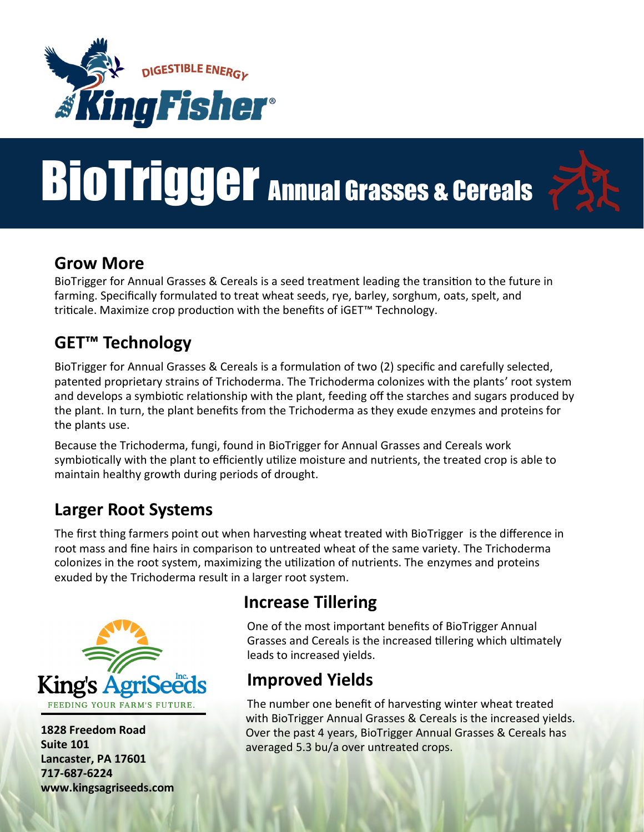

# BioTrigger Annual Grasses & Cereals



#### **Grow More**

BioTrigger for Annual Grasses & Cereals is a seed treatment leading the transition to the future in farming. Specifically formulated to treat wheat seeds, rye, barley, sorghum, oats, spelt, and triticale. Maximize crop production with the benefits of iGET™ Technology.

## **GET™ Technology**

BioTrigger for Annual Grasses & Cereals is a formulation of two (2) specific and carefully selected, patented proprietary strains of Trichoderma. The Trichoderma colonizes with the plants' root system and develops a symbiotic relationship with the plant, feeding off the starches and sugars produced by the plant. In turn, the plant benefits from the Trichoderma as they exude enzymes and proteins for the plants use.

Because the Trichoderma, fungi, found in BioTrigger for Annual Grasses and Cereals work symbiotically with the plant to efficiently utilize moisture and nutrients, the treated crop is able to maintain healthy growth during periods of drought.

#### **Larger Root Systems**

The first thing farmers point out when harvesting wheat treated with BioTrigger is the difference in root mass and fine hairs in comparison to untreated wheat of the same variety. The Trichoderma colonizes in the root system, maximizing the utilization of nutrients. The enzymes and proteins exuded by the Trichoderma result in a larger root system.



**1828 Freedom Road Suite 101 Lancaster, PA 17601 717-687-6224 www.kingsagriseeds.com**

## **Increase Tillering**

One of the most important benefits of BioTrigger Annual Grasses and Cereals is the increased tillering which ultimately leads to increased yields.

## **Improved Yields**

The number one benefit of harvesting winter wheat treated with BioTrigger Annual Grasses & Cereals is the increased yields. Over the past 4 years, BioTrigger Annual Grasses & Cereals has averaged 5.3 bu/a over untreated crops.